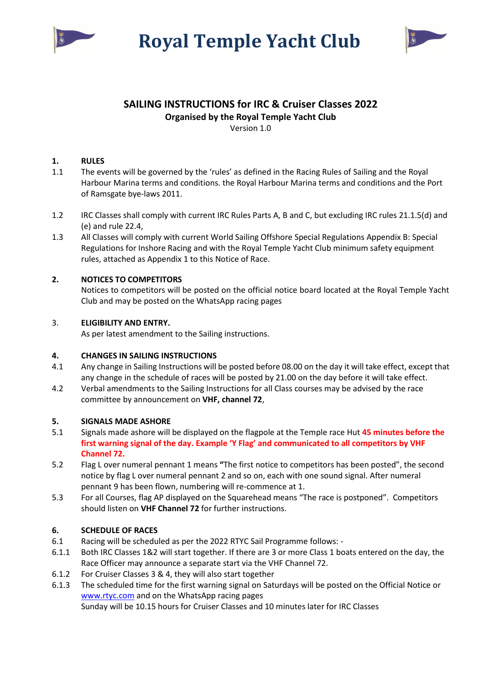



# **SAILING INSTRUCTIONS for IRC & Cruiser Classes 2022 Organised by the Royal Temple Yacht Club**

Version 1.0

# **1. RULES**

- 1.1 The events will be governed by the 'rules' as defined in the Racing Rules of Sailing and the Royal Harbour Marina terms and conditions. the Royal Harbour Marina terms and conditions and the Port of Ramsgate bye-laws 2011.
- 1.2 IRC Classes shall comply with current IRC Rules Parts A, B and C, but excluding IRC rules 21.1.5(d) and (e) and rule 22.4,
- 1.3 All Classes will comply with current World Sailing Offshore Special Regulations Appendix B: Special Regulations for Inshore Racing and with the Royal Temple Yacht Club minimum safety equipment rules, attached as Appendix 1 to this Notice of Race.

# **2. NOTICES TO COMPETITORS**

Notices to competitors will be posted on the official notice board located at the Royal Temple Yacht Club and may be posted on the WhatsApp racing pages

# 3. **ELIGIBILITY AND ENTRY.**

As per latest amendment to the Sailing instructions.

# **4. CHANGES IN SAILING INSTRUCTIONS**

- 4.1 Any change in Sailing Instructions will be posted before 08.00 on the day it will take effect, except that any change in the schedule of races will be posted by 21.00 on the day before it will take effect.
- 4.2 Verbal amendments to the Sailing Instructions for all Class courses may be advised by the race committee by announcement on **VHF, channel 72**,

# **5. SIGNALS MADE ASHORE**

- 5.1 Signals made ashore will be displayed on the flagpole at the Temple race Hut **45 minutes before the first warning signal of the day. Example 'Y Flag' and communicated to all competitors by VHF Channel 72.**
- 5.2 Flag L over numeral pennant 1 means **"**The first notice to competitors has been posted", the second notice by flag L over numeral pennant 2 and so on, each with one sound signal. After numeral pennant 9 has been flown, numbering will re-commence at 1.
- 5.3 For all Courses, flag AP displayed on the Squarehead means "The race is postponed". Competitors should listen on **VHF Channel 72** for further instructions.

# **6. SCHEDULE OF RACES**

- 6.1 Racing will be scheduled as per the 2022 RTYC Sail Programme follows: -
- 6.1.1 Both IRC Classes 1&2 will start together. If there are 3 or more Class 1 boats entered on the day, the Race Officer may announce a separate start via the VHF Channel 72.
- 6.1.2 For Cruiser Classes 3 & 4, they will also start together
- 6.1.3 The scheduled time for the first warning signal on Saturdays will be posted on the Official Notice or [www.rtyc.com](http://www.rtyc.com/) and on the WhatsApp racing pages

Sunday will be 10.15 hours for Cruiser Classes and 10 minutes later for IRC Classes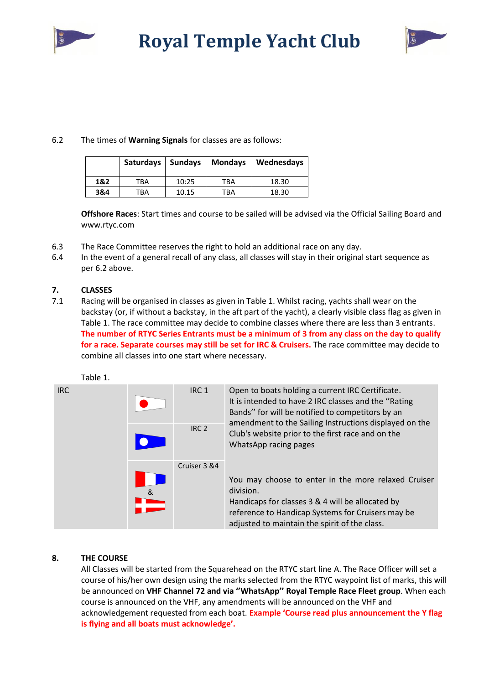



# 6.2 The times of **Warning Signals** for classes are as follows:

|     | Saturdays   Sundays |       | <b>Mondays</b> | Wednesdays |
|-----|---------------------|-------|----------------|------------|
| 1&2 | TBA                 | 10:25 | TBA            | 18.30      |
| 3&4 | ТВА                 | 10.15 | TBA            | 18.30      |

**Offshore Races**: Start times and course to be sailed will be advised via the Official Sailing Board and www.rtyc.com

- 6.3 The Race Committee reserves the right to hold an additional race on any day.
- 6.4 In the event of a general recall of any class, all classes will stay in their original start sequence as per 6.2 above.

# **7. CLASSES**

7.1 Racing will be organised in classes as given in Table 1. Whilst racing, yachts shall wear on the backstay (or, if without a backstay, in the aft part of the yacht), a clearly visible class flag as given in Table 1. The race committee may decide to combine classes where there are less than 3 entrants. **The number of RTYC Series Entrants must be a minimum of 3 from any class on the day to qualify for a race. Separate courses may still be set for IRC & Cruisers.** The race committee may decide to combine all classes into one start where necessary.



# **8. THE COURSE**

All Classes will be started from the Squarehead on the RTYC start line A. The Race Officer will set a course of his/her own design using the marks selected from the RTYC waypoint list of marks, this will be announced on **VHF Channel 72 and via ''WhatsApp'' Royal Temple Race Fleet group**. When each course is announced on the VHF, any amendments will be announced on the VHF and acknowledgement requested from each boat. **Example 'Course read plus announcement the Y flag is flying and all boats must acknowledge'.**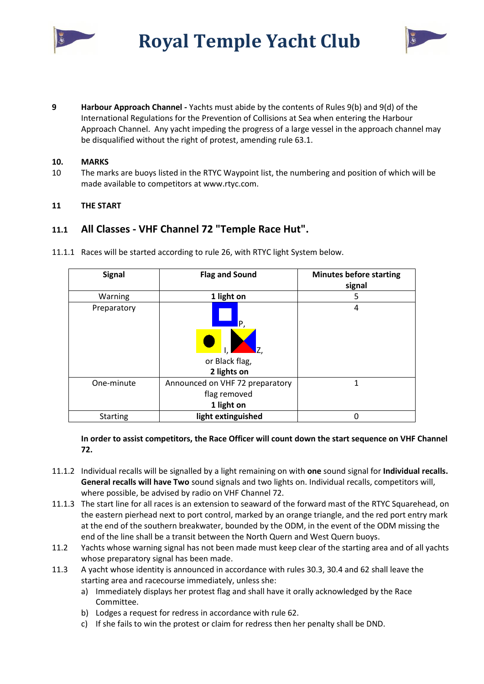



**9 Harbour Approach Channel -** Yachts must abide by the contents of Rules 9(b) and 9(d) of the International Regulations for the Prevention of Collisions at Sea when entering the Harbour Approach Channel. Any yacht impeding the progress of a large vessel in the approach channel may be disqualified without the right of protest, amending rule 63.1.

#### **10. MARKS**

10 The marks are buoys listed in the RTYC Waypoint list, the numbering and position of which will be made available to competitors at www.rtyc.com.

# **11 THE START**

# **11.1 All Classes - VHF Channel 72 "Temple Race Hut".**

| <b>Signal</b>   | <b>Flag and Sound</b>           | <b>Minutes before starting</b><br>signal |
|-----------------|---------------------------------|------------------------------------------|
| Warning         | 1 light on                      | 5                                        |
| Preparatory     | P,                              | 4                                        |
|                 |                                 |                                          |
|                 | or Black flag,                  |                                          |
|                 | 2 lights on                     |                                          |
| One-minute      | Announced on VHF 72 preparatory | 1                                        |
|                 | flag removed                    |                                          |
|                 | 1 light on                      |                                          |
| <b>Starting</b> | light extinguished              | በ                                        |

11.1.1 Races will be started according to rule 26, with RTYC light System below.

**In order to assist competitors, the Race Officer will count down the start sequence on VHF Channel 72.**

- 11.1.2 Individual recalls will be signalled by a light remaining on with **one** sound signal for **Individual recalls. General recalls will have Two** sound signals and two lights on. Individual recalls, competitors will, where possible, be advised by radio on VHF Channel 72.
- 11.1.3 The start line for all races is an extension to seaward of the forward mast of the RTYC Squarehead, on the eastern pierhead next to port control, marked by an orange triangle, and the red port entry mark at the end of the southern breakwater, bounded by the ODM, in the event of the ODM missing the end of the line shall be a transit between the North Quern and West Quern buoys.
- 11.2 Yachts whose warning signal has not been made must keep clear of the starting area and of all yachts whose preparatory signal has been made.
- 11.3 A yacht whose identity is announced in accordance with rules 30.3, 30.4 and 62 shall leave the starting area and racecourse immediately, unless she:
	- a) Immediately displays her protest flag and shall have it orally acknowledged by the Race Committee.
	- b) Lodges a request for redress in accordance with rule 62.
	- c) If she fails to win the protest or claim for redress then her penalty shall be DND.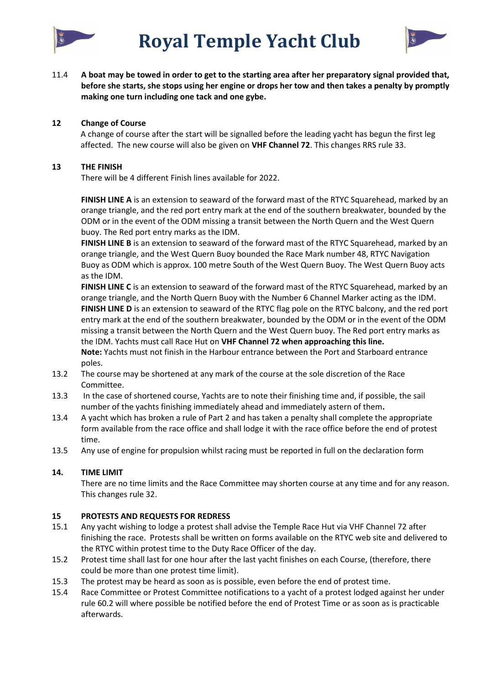



11.4 **A boat may be towed in order to get to the starting area after her preparatory signal provided that, before she starts, she stops using her engine or drops her tow and then takes a penalty by promptly making one turn including one tack and one gybe.**

#### **12 Change of Course**

A change of course after the start will be signalled before the leading yacht has begun the first leg affected. The new course will also be given on **VHF Channel 72**. This changes RRS rule 33.

#### **13 THE FINISH**

There will be 4 different Finish lines available for 2022.

**FINISH LINE A** is an extension to seaward of the forward mast of the RTYC Squarehead, marked by an orange triangle, and the red port entry mark at the end of the southern breakwater, bounded by the ODM or in the event of the ODM missing a transit between the North Quern and the West Quern buoy. The Red port entry marks as the IDM.

**FINISH LINE B** is an extension to seaward of the forward mast of the RTYC Squarehead, marked by an orange triangle, and the West Quern Buoy bounded the Race Mark number 48, RTYC Navigation Buoy as ODM which is approx. 100 metre South of the West Quern Buoy. The West Quern Buoy acts as the IDM.

**FINISH LINE C** is an extension to seaward of the forward mast of the RTYC Squarehead, marked by an orange triangle, and the North Quern Buoy with the Number 6 Channel Marker acting as the IDM. **FINISH LINE D** is an extension to seaward of the RTYC flag pole on the RTYC balcony, and the red port entry mark at the end of the southern breakwater, bounded by the ODM or in the event of the ODM missing a transit between the North Quern and the West Quern buoy. The Red port entry marks as the IDM. Yachts must call Race Hut on **VHF Channel 72 when approaching this line. Note:** Yachts must not finish in the Harbour entrance between the Port and Starboard entrance poles.

- 13.2 The course may be shortened at any mark of the course at the sole discretion of the Race Committee.
- 13.3 In the case of shortened course, Yachts are to note their finishing time and, if possible, the sail number of the yachts finishing immediately ahead and immediately astern of them**.**
- 13.4 A yacht which has broken a rule of Part 2 and has taken a penalty shall complete the appropriate form available from the race office and shall lodge it with the race office before the end of protest time.
- 13.5 Any use of engine for propulsion whilst racing must be reported in full on the declaration form

# **14. TIME LIMIT**

There are no time limits and the Race Committee may shorten course at any time and for any reason. This changes rule 32.

# **15 PROTESTS AND REQUESTS FOR REDRESS**

- 15.1 Any yacht wishing to lodge a protest shall advise the Temple Race Hut via VHF Channel 72 after finishing the race. Protests shall be written on forms available on the RTYC web site and delivered to the RTYC within protest time to the Duty Race Officer of the day.
- 15.2 Protest time shall last for one hour after the last yacht finishes on each Course, (therefore, there could be more than one protest time limit).
- 15.3 The protest may be heard as soon as is possible, even before the end of protest time.
- 15.4 Race Committee or Protest Committee notifications to a yacht of a protest lodged against her under rule 60.2 will where possible be notified before the end of Protest Time or as soon as is practicable afterwards.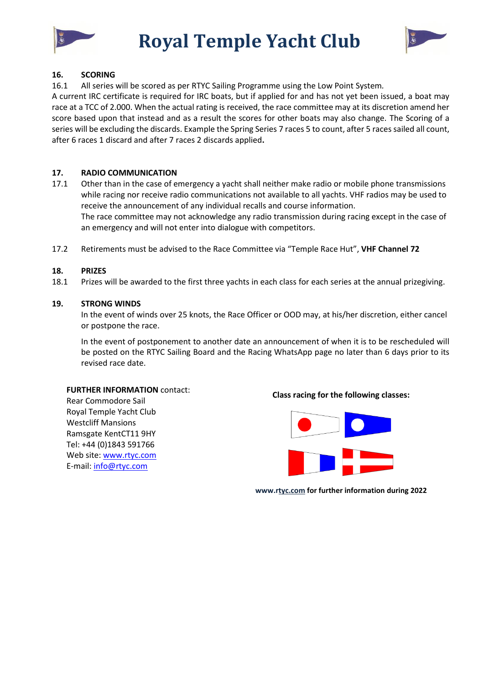

**Royal Temple Yacht Club** 



#### **16. SCORING**

16.1 All series will be scored as per RTYC Sailing Programme using the Low Point System*.*

A current IRC certificate is required for IRC boats, but if applied for and has not yet been issued, a boat may race at a TCC of 2.000. When the actual rating is received, the race committee may at its discretion amend her score based upon that instead and as a result the scores for other boats may also change. The Scoring of a series will be excluding the discards. Example the Spring Series 7 races 5 to count, after 5 races sailed all count, after 6 races 1 discard and after 7 races 2 discards applied**.**

#### **17. RADIO COMMUNICATION**

- 17.1 Other than in the case of emergency a yacht shall neither make radio or mobile phone transmissions while racing nor receive radio communications not available to all yachts. VHF radios may be used to receive the announcement of any individual recalls and course information. The race committee may not acknowledge any radio transmission during racing except in the case of an emergency and will not enter into dialogue with competitors.
- 17.2 Retirements must be advised to the Race Committee via "Temple Race Hut", **VHF Channel 72**

#### **18. PRIZES**

18.1 Prizes will be awarded to the first three yachts in each class for each series at the annual prizegiving.

#### **19. STRONG WINDS**

In the event of winds over 25 knots, the Race Officer or OOD may, at his/her discretion, either cancel or postpone the race.

In the event of postponement to another date an announcement of when it is to be rescheduled will be posted on the RTYC Sailing Board and the Racing WhatsApp page no later than 6 days prior to its revised race date.

#### **FURTHER INFORMATION** contact:

Rear Commodore Sail Royal Temple Yacht Club Westcliff Mansions Ramsgate KentCT11 9HY Tel: +44 (0)1843 591766 Web site[: www.rtyc.com](http://www.rtyc.com/) E-mail: [info@rtyc.com](mail:info@rtyc.com)

#### **Class racing for the following classes:**



**www.rtyc.com for further information during 2022**